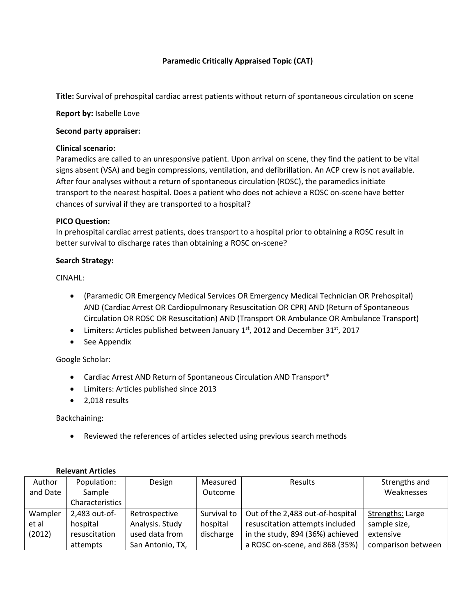# **Paramedic Critically Appraised Topic (CAT)**

**Title:** Survival of prehospital cardiac arrest patients without return of spontaneous circulation on scene

**Report by:** Isabelle Love

### **Second party appraiser:**

### **Clinical scenario:**

Paramedics are called to an unresponsive patient. Upon arrival on scene, they find the patient to be vital signs absent (VSA) and begin compressions, ventilation, and defibrillation. An ACP crew is not available. After four analyses without a return of spontaneous circulation (ROSC), the paramedics initiate transport to the nearest hospital. Does a patient who does not achieve a ROSC on-scene have better chances of survival if they are transported to a hospital?

### **PICO Question:**

In prehospital cardiac arrest patients, does transport to a hospital prior to obtaining a ROSC result in better survival to discharge rates than obtaining a ROSC on-scene?

## **Search Strategy:**

CINAHL:

- (Paramedic OR Emergency Medical Services OR Emergency Medical Technician OR Prehospital) AND (Cardiac Arrest OR Cardiopulmonary Resuscitation OR CPR) AND (Return of Spontaneous Circulation OR ROSC OR Resuscitation) AND (Transport OR Ambulance OR Ambulance Transport)
- Limiters: Articles published between January  $1<sup>st</sup>$ , 2012 and December 31 $<sup>st</sup>$ , 2017</sup>
- See Appendix

## Google Scholar:

- Cardiac Arrest AND Return of Spontaneous Circulation AND Transport\*
- Limiters: Articles published since 2013
- 2,018 results

Backchaining:

Reviewed the references of articles selected using previous search methods

| Author   | Population:     | Design           | Measured    | <b>Results</b>                   | Strengths and           |
|----------|-----------------|------------------|-------------|----------------------------------|-------------------------|
| and Date | Sample          |                  | Outcome     |                                  | Weaknesses              |
|          | Characteristics |                  |             |                                  |                         |
| Wampler  | 2,483 out-of-   | Retrospective    | Survival to | Out of the 2,483 out-of-hospital | <b>Strengths: Large</b> |
| et al    | hospital        | Analysis. Study  | hospital    | resuscitation attempts included  | sample size,            |
| (2012)   | resuscitation   | used data from   | discharge   | in the study, 894 (36%) achieved | extensive               |
|          | attempts        | San Antonio, TX, |             | a ROSC on-scene, and 868 (35%)   | comparison between      |

## **Relevant Articles**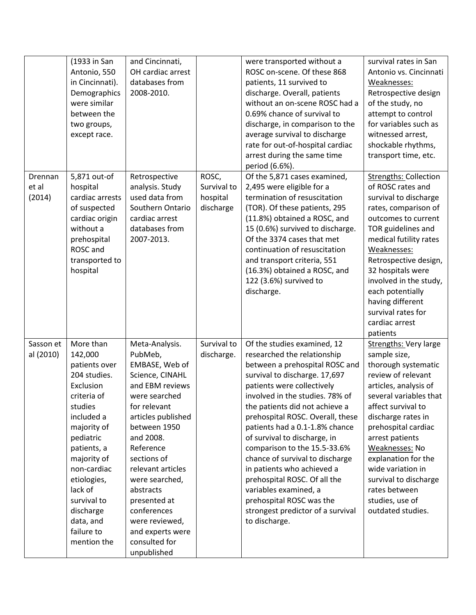|           | (1933 in San<br>Antonio, 550<br>in Cincinnati). | and Cincinnati,<br>OH cardiac arrest<br>databases from |             | were transported without a<br>ROSC on-scene. Of these 868<br>patients, 11 survived to | survival rates in San<br>Antonio vs. Cincinnati<br>Weaknesses: |
|-----------|-------------------------------------------------|--------------------------------------------------------|-------------|---------------------------------------------------------------------------------------|----------------------------------------------------------------|
|           | Demographics                                    | 2008-2010.                                             |             | discharge. Overall, patients                                                          | Retrospective design                                           |
|           | were similar<br>between the                     |                                                        |             | without an on-scene ROSC had a<br>0.69% chance of survival to                         | of the study, no                                               |
|           | two groups,                                     |                                                        |             | discharge, in comparison to the                                                       | attempt to control<br>for variables such as                    |
|           | except race.                                    |                                                        |             | average survival to discharge                                                         | witnessed arrest,                                              |
|           |                                                 |                                                        |             | rate for out-of-hospital cardiac                                                      | shockable rhythms,                                             |
|           |                                                 |                                                        |             | arrest during the same time                                                           | transport time, etc.                                           |
|           |                                                 |                                                        |             | period (6.6%).                                                                        |                                                                |
| Drennan   | 5,871 out-of                                    | Retrospective                                          | ROSC,       | Of the 5,871 cases examined,                                                          | <b>Strengths: Collection</b>                                   |
| et al     | hospital                                        | analysis. Study                                        | Survival to | 2,495 were eligible for a                                                             | of ROSC rates and                                              |
| (2014)    | cardiac arrests                                 | used data from                                         | hospital    | termination of resuscitation                                                          | survival to discharge                                          |
|           | of suspected<br>cardiac origin                  | Southern Ontario<br>cardiac arrest                     | discharge   | (TOR). Of these patients, 295<br>(11.8%) obtained a ROSC, and                         | rates, comparison of<br>outcomes to current                    |
|           | without a                                       | databases from                                         |             | 15 (0.6%) survived to discharge.                                                      | TOR guidelines and                                             |
|           | prehospital                                     | 2007-2013.                                             |             | Of the 3374 cases that met                                                            | medical futility rates                                         |
|           | ROSC and                                        |                                                        |             | continuation of resuscitation                                                         | Weaknesses:                                                    |
|           | transported to                                  |                                                        |             | and transport criteria, 551                                                           | Retrospective design,                                          |
|           | hospital                                        |                                                        |             | (16.3%) obtained a ROSC, and                                                          | 32 hospitals were                                              |
|           |                                                 |                                                        |             | 122 (3.6%) survived to                                                                | involved in the study,                                         |
|           |                                                 |                                                        |             | discharge.                                                                            | each potentially                                               |
|           |                                                 |                                                        |             |                                                                                       | having different<br>survival rates for                         |
|           |                                                 |                                                        |             |                                                                                       | cardiac arrest                                                 |
|           |                                                 |                                                        |             |                                                                                       | patients                                                       |
| Sasson et | More than                                       | Meta-Analysis.                                         | Survival to | Of the studies examined, 12                                                           | <b>Strengths: Very large</b>                                   |
| al (2010) | 142,000                                         | PubMeb,                                                | discharge.  | researched the relationship                                                           | sample size,                                                   |
|           | patients over                                   | EMBASE, Web of                                         |             | between a prehospital ROSC and                                                        | thorough systematic                                            |
|           | 204 studies.                                    | Science, CINAHL                                        |             | survival to discharge. 17,697                                                         | review of relevant                                             |
|           | Exclusion                                       | and EBM reviews                                        |             | patients were collectively                                                            | articles, analysis of                                          |
|           | criteria of<br>studies                          | were searched<br>for relevant                          |             | involved in the studies. 78% of<br>the patients did not achieve a                     | several variables that<br>affect survival to                   |
|           | included a                                      | articles published                                     |             | prehospital ROSC. Overall, these                                                      | discharge rates in                                             |
|           | majority of                                     | between 1950                                           |             | patients had a 0.1-1.8% chance                                                        | prehospital cardiac                                            |
|           | pediatric                                       | and 2008.                                              |             | of survival to discharge, in                                                          | arrest patients                                                |
|           | patients, a                                     | Reference                                              |             | comparison to the 15.5-33.6%                                                          | Weaknesses: No                                                 |
|           | majority of                                     | sections of                                            |             | chance of survival to discharge                                                       | explanation for the                                            |
|           | non-cardiac                                     | relevant articles                                      |             | in patients who achieved a                                                            | wide variation in                                              |
|           | etiologies,                                     | were searched,                                         |             | prehospital ROSC. Of all the                                                          | survival to discharge                                          |
|           | lack of<br>survival to                          | abstracts<br>presented at                              |             | variables examined, a<br>prehospital ROSC was the                                     | rates between<br>studies, use of                               |
|           | discharge                                       | conferences                                            |             | strongest predictor of a survival                                                     | outdated studies.                                              |
|           | data, and                                       | were reviewed,                                         |             | to discharge.                                                                         |                                                                |
|           | failure to                                      | and experts were                                       |             |                                                                                       |                                                                |
|           | mention the                                     | consulted for                                          |             |                                                                                       |                                                                |
|           |                                                 |                                                        |             |                                                                                       |                                                                |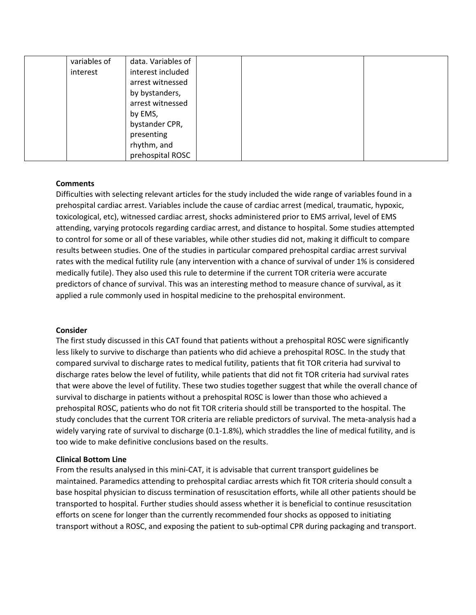| variables of | data. Variables of |  |  |
|--------------|--------------------|--|--|
| interest     | interest included  |  |  |
|              | arrest witnessed   |  |  |
|              | by bystanders,     |  |  |
|              | arrest witnessed   |  |  |
|              | by EMS,            |  |  |
|              | bystander CPR,     |  |  |
|              | presenting         |  |  |
|              | rhythm, and        |  |  |
|              | prehospital ROSC   |  |  |

#### **Comments**

Difficulties with selecting relevant articles for the study included the wide range of variables found in a prehospital cardiac arrest. Variables include the cause of cardiac arrest (medical, traumatic, hypoxic, toxicological, etc), witnessed cardiac arrest, shocks administered prior to EMS arrival, level of EMS attending, varying protocols regarding cardiac arrest, and distance to hospital. Some studies attempted to control for some or all of these variables, while other studies did not, making it difficult to compare results between studies. One of the studies in particular compared prehospital cardiac arrest survival rates with the medical futility rule (any intervention with a chance of survival of under 1% is considered medically futile). They also used this rule to determine if the current TOR criteria were accurate predictors of chance of survival. This was an interesting method to measure chance of survival, as it applied a rule commonly used in hospital medicine to the prehospital environment.

#### **Consider**

The first study discussed in this CAT found that patients without a prehospital ROSC were significantly less likely to survive to discharge than patients who did achieve a prehospital ROSC. In the study that compared survival to discharge rates to medical futility, patients that fit TOR criteria had survival to discharge rates below the level of futility, while patients that did not fit TOR criteria had survival rates that were above the level of futility. These two studies together suggest that while the overall chance of survival to discharge in patients without a prehospital ROSC is lower than those who achieved a prehospital ROSC, patients who do not fit TOR criteria should still be transported to the hospital. The study concludes that the current TOR criteria are reliable predictors of survival. The meta-analysis had a widely varying rate of survival to discharge (0.1-1.8%), which straddles the line of medical futility, and is too wide to make definitive conclusions based on the results.

#### **Clinical Bottom Line**

From the results analysed in this mini-CAT, it is advisable that current transport guidelines be maintained. Paramedics attending to prehospital cardiac arrests which fit TOR criteria should consult a base hospital physician to discuss termination of resuscitation efforts, while all other patients should be transported to hospital. Further studies should assess whether it is beneficial to continue resuscitation efforts on scene for longer than the currently recommended four shocks as opposed to initiating transport without a ROSC, and exposing the patient to sub-optimal CPR during packaging and transport.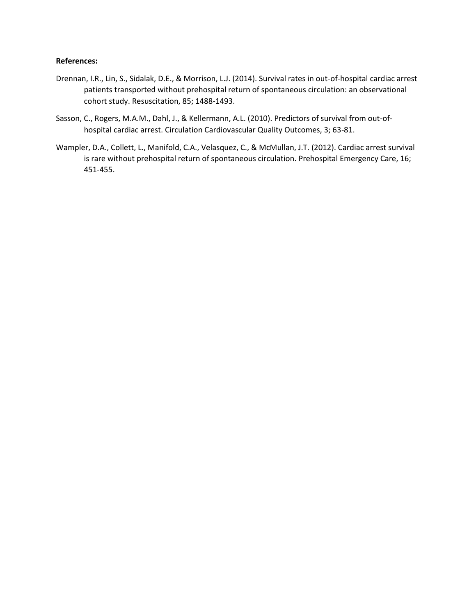#### **References:**

- Drennan, I.R., Lin, S., Sidalak, D.E., & Morrison, L.J. (2014). Survival rates in out-of-hospital cardiac arrest patients transported without prehospital return of spontaneous circulation: an observational cohort study. Resuscitation, 85; 1488-1493.
- Sasson, C., Rogers, M.A.M., Dahl, J., & Kellermann, A.L. (2010). Predictors of survival from out-ofhospital cardiac arrest. Circulation Cardiovascular Quality Outcomes, 3; 63-81.
- Wampler, D.A., Collett, L., Manifold, C.A., Velasquez, C., & McMullan, J.T. (2012). Cardiac arrest survival is rare without prehospital return of spontaneous circulation. Prehospital Emergency Care, 16; 451-455.